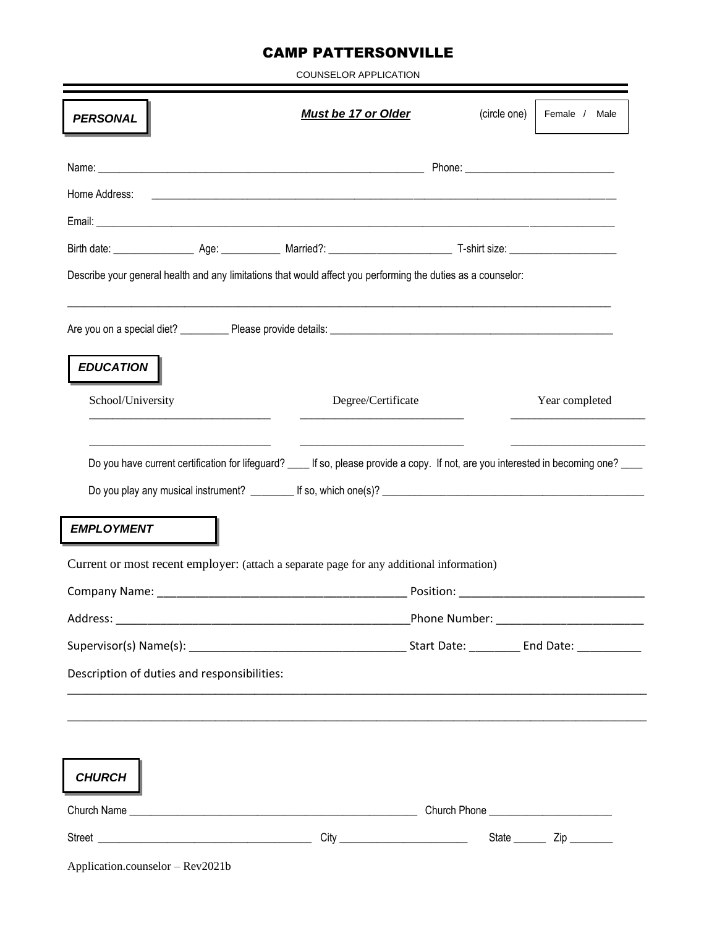## CAMP PATTERSONVILLE

COUNSELOR APPLICATION

| <b>PERSONAL</b>                             | <b>Must be 17 or Older</b>                                                                                                           | (circle one) | Female / Male                           |
|---------------------------------------------|--------------------------------------------------------------------------------------------------------------------------------------|--------------|-----------------------------------------|
|                                             |                                                                                                                                      |              |                                         |
| Home Address:                               |                                                                                                                                      |              |                                         |
|                                             |                                                                                                                                      |              |                                         |
|                                             |                                                                                                                                      |              |                                         |
|                                             | Describe your general health and any limitations that would affect you performing the duties as a counselor:                         |              |                                         |
|                                             |                                                                                                                                      |              |                                         |
| <b>EDUCATION</b>                            |                                                                                                                                      |              |                                         |
| School/University                           | Degree/Certificate                                                                                                                   |              | Year completed                          |
|                                             |                                                                                                                                      |              |                                         |
| <b>EMPLOYMENT</b>                           | Do you have current certification for lifeguard? ____ If so, please provide a copy. If not, are you interested in becoming one? ____ |              |                                         |
|                                             | Current or most recent employer: (attach a separate page for any additional information)                                             |              |                                         |
|                                             |                                                                                                                                      |              |                                         |
|                                             |                                                                                                                                      |              | Phone Number: _________________________ |
|                                             |                                                                                                                                      |              |                                         |
| Description of duties and responsibilities: |                                                                                                                                      |              |                                         |
|                                             | <u> 1999 - Jan Samuel Barbara, margaret a shekara ta 1999 - Anna an tsair an tsair an tsair an tsair an tsair an t</u>               |              |                                         |
| <b>CHURCH</b>                               |                                                                                                                                      |              |                                         |
|                                             |                                                                                                                                      |              |                                         |

Application.counselor – Rev2021b